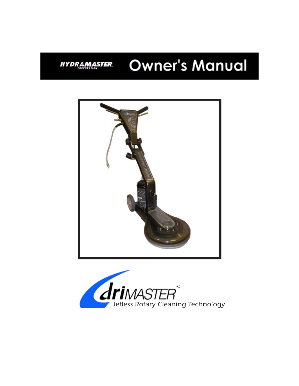### **Owner's Manual HYDRAMASTER**



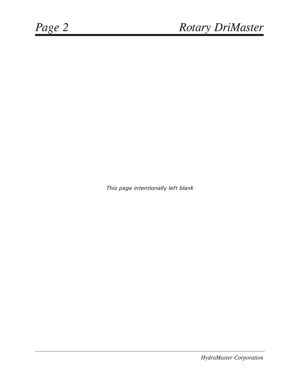*This page intentionally left blank*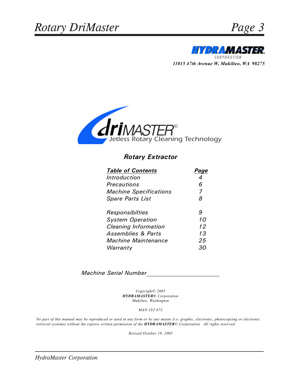



#### *Rotary Extractor*

| <b>Table of Contents</b>         |    |
|----------------------------------|----|
| Introduction                     | 4  |
| <i><u><b>Precautions</b></u></i> | 6  |
| <b>Machine Specifications</b>    | 7  |
| <b>Spare Parts List</b>          | 8  |
|                                  |    |
| Responsibilties                  | 9  |
| <b>System Operation</b>          | 10 |
| <b>Cleaning Information</b>      | 12 |
| <b>Assemblies &amp; Parts</b>    | 13 |
| <i>Machine Maintenance</i>       | 25 |
| Warranty                         |    |

*Machine Serial Number\_\_\_\_\_\_\_\_\_\_\_\_\_\_\_\_\_\_\_\_\_\_\_\_*

*Copyright© 2005 HYDRAMASTER© Corporation Mukilteo, Washington*

*MAN-182-073*

*No part of this manual may be reproduced or used in any form or by any means (i.e. graphic, electronic, photocopying or electronic retrieval systems) without the express written permission of the HYDRAMASTER© Corporation. All rights reserved.*

*Revised October 19, 2005*

*HydraMaster Corporation*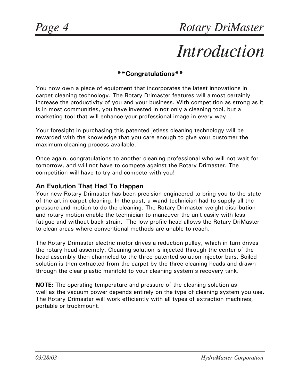# *Introduction*

### **\*\*Congratulations\*\***

You now own a piece of equipment that incorporates the latest innovations in carpet cleaning technology. The Rotary Drimaster features will almost certainly increase the productivity of you and your business. With competition as strong as it is in most communities, you have invested in not only a cleaning tool, but a marketing tool that will enhance your professional image in every way.

Your foresight in purchasing this patented jetless cleaning technology will be rewarded with the knowledge that you care enough to give your customer the maximum cleaning process available.

Once again, congratulations to another cleaning professional who will not wait for tomorrow, and will not have to compete against the Rotary Drimaster. The competition will have to try and compete with you!

#### **An Evolution That Had To Happen**

Your new Rotary Drimaster has been precision engineered to bring you to the stateof-the-art in carpet cleaning. In the past, a wand technician had to supply all the pressure and motion to do the cleaning. The Rotary Drimaster weight distribution and rotary motion enable the technician to maneuver the unit easily with less fatigue and without back strain. The low profile head allows the Rotary DriMaster to clean areas where conventional methods are unable to reach.

The Rotary Drimaster electric motor drives a reduction pulley, which in turn drives the rotary head assembly. Cleaning solution is injected through the center of the head assembly then channeled to the three patented solution injector bars. Soiled solution is then extracted from the carpet by the three cleaning heads and drawn through the clear plastic manifold to your cleaning system's recovery tank.

**NOTE:** The operating temperature and pressure of the cleaning solution as well as the vacuum power depends entirely on the type of cleaning system you use. The Rotary Drimaster will work efficiently with all types of extraction machines, portable or truckmount.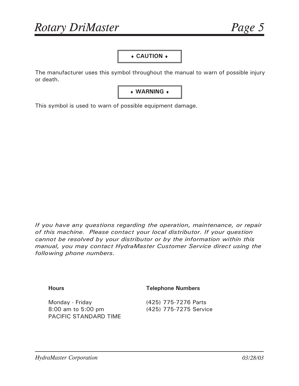#### ♦ **CAUTION** ♦

The manufacturer uses this symbol throughout the manual to warn of possible injury or death.

♦ **WARNING** ♦

This symbol is used to warn of possible equipment damage.

*If you have any questions regarding the operation, maintenance, or repair of this machine. Please contact your local distributor. If your question cannot be resolved by your distributor or by the information within this manual, you may contact HydraMaster Customer Service direct using the following phone numbers.*

#### **Hours Telephone Numbers**

Monday - Friday (425) 775-7276 Parts 8:00 am to 5:00 pm (425) 775-7275 Service PACIFIC STANDARD TIME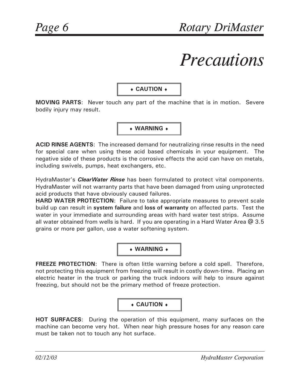### *Precautions*

#### ♦ **CAUTION** ♦

**MOVING PARTS**: Never touch any part of the machine that is in motion. Severe bodily injury may result.

♦ **WARNING** ♦

**ACID RINSE AGENTS**: The increased demand for neutralizing rinse results in the need for special care when using these acid based chemicals in your equipment. The negative side of these products is the corrosive effects the acid can have on metals, including swivels, pumps, heat exchangers, etc.

HydraMaster's *ClearWater Rinse* has been formulated to protect vital components. HydraMaster will not warranty parts that have been damaged from using unprotected acid products that have obviously caused failures.

**HARD WATER PROTECTION**: Failure to take appropriate measures to prevent scale build up can result in **system failure** and **loss of warranty** on affected parts. Test the water in your immediate and surrounding areas with hard water test strips. Assume all water obtained from wells is hard. If you are operating in a Hard Water Area @ 3.5 grains or more per gallon, use a water softening system.

♦ **WARNING** ♦

**FREEZE PROTECTION**: There is often little warning before a cold spell. Therefore, not protecting this equipment from freezing will result in costly down-time. Placing an electric heater in the truck or parking the truck indoors will help to insure against freezing, but should not be the primary method of freeze protection.

#### ♦ **CAUTION** ♦

**HOT SURFACES**: During the operation of this equipment, many surfaces on the machine can become very hot. When near high pressure hoses for any reason care must be taken not to touch any hot surface.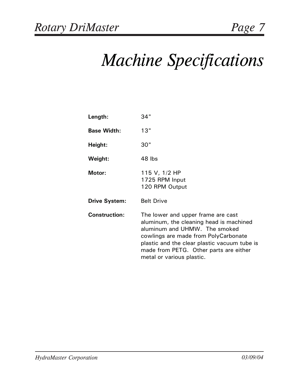# *Machine Specifications*

| Length:              | 34"                                                                                                                                                                                                                                                                           |
|----------------------|-------------------------------------------------------------------------------------------------------------------------------------------------------------------------------------------------------------------------------------------------------------------------------|
| <b>Base Width:</b>   | 13"                                                                                                                                                                                                                                                                           |
| Height:              | 30"                                                                                                                                                                                                                                                                           |
| Weight:              | 48 lbs                                                                                                                                                                                                                                                                        |
| Motor:               | 115 V, 1/2 HP<br>1725 RPM Input<br>120 RPM Output                                                                                                                                                                                                                             |
| <b>Drive System:</b> | <b>Belt Drive</b>                                                                                                                                                                                                                                                             |
| <b>Construction:</b> | The lower and upper frame are cast<br>aluminum, the cleaning head is machined<br>aluminum and UHMW. The smoked<br>cowlings are made from PolyCarbonate<br>plastic and the clear plastic vacuum tube is<br>made from PETG. Other parts are either<br>metal or various plastic. |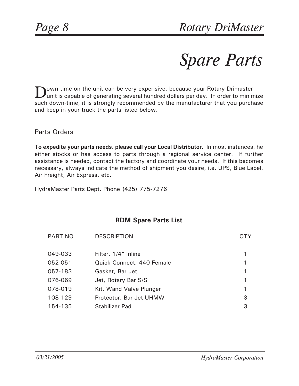# *Spare Parts*

Down-time on the unit can be very expensive, because your Rotary Drimaster unit is capable of generating several hundred dollars per day. In order to minimize such down-time, it is strongly recommended by the manufacturer that you purchase and keep in your truck the parts listed below.

#### Parts Orders

**To expedite your parts needs, please call your Local Distributor.** In most instances, he either stocks or has access to parts through a regional service center. If further assistance is needed, contact the factory and coordinate your needs. If this becomes necessary, always indicate the method of shipment you desire, i.e. UPS, Blue Label, Air Freight, Air Express, etc.

HydraMaster Parts Dept. Phone (425) 775-7276

### **RDM Spare Parts List**

| <b>PART NO</b> | <b>DESCRIPTION</b>        |   |
|----------------|---------------------------|---|
| 049-033        | Filter, 1/4" Inline       | 1 |
| 052-051        | Quick Connect, 440 Female | 1 |
| 057-183        | Gasket, Bar Jet           | 1 |
| 076-069        | Jet, Rotary Bar S/S       | 1 |
| 078-019        | Kit, Wand Valve Plunger   | 1 |
| 108-129        | Protector, Bar Jet UHMW   | 3 |
| 154-135        | <b>Stabilizer Pad</b>     | 3 |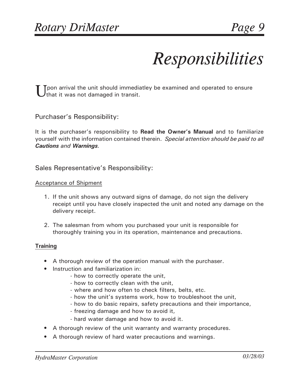# *Responsibilities*

U pon arrival the unit should immediatley be examined and operated to ensure<br>Uthat it was not damaged in transit.

Purchaser's Responsibility:

It is the purchaser's responsibility to **Read the Owner's Manual** and to familiarize yourself with the information contained therein. *Special attention should be paid to all Cautions and Warnings.*

Sales Representative's Responsibility:

#### Acceptance of Shipment

- 1. If the unit shows any outward signs of damage, do not sign the delivery receipt until you have closely inspected the unit and noted any damage on the delivery receipt.
- 2. The salesman from whom you purchased your unit is responsible for thoroughly training you in its operation, maintenance and precautions.

#### **Training**

- A thorough review of the operation manual with the purchaser.
- Instruction and familiarization in:
	- how to correctly operate the unit,
	- how to correctly clean with the unit,
	- where and how often to check filters, belts, etc.
	- how the unit's systems work, how to troubleshoot the unit,
	- how to do basic repairs, safety precautions and their importance,
	- freezing damage and how to avoid it,
	- hard water damage and how to avoid it.
- A thorough review of the unit warranty and warranty procedures.
- A thorough review of hard water precautions and warnings.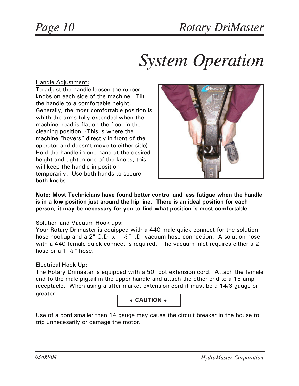# *System Operation*

#### Handle Adjustment:

To adjust the handle loosen the rubber knobs on each side of the machine. Tilt the handle to a comfortable height. Generally, the most comfortable position is whith the arms fully extended when the machine head is flat on the floor in the cleaning position. (This is where the machine "hovers" directly in front of the operator and doesn't move to either side) Hold the handle in one hand at the desired height and tighten one of the knobs, this will keep the handle in position temporarily. Use both hands to secure both knobs.



**Note: Most Technicians have found better control and less fatigue when the handle is in a low position just around the hip line. There is an ideal position for each person, it may be necessary for you to find what position is most comfortable.**

#### Solution and Vacuum Hook ups:

Your Rotary Drimaster is equipped with a 440 male quick connect for the solution hose hookup and a 2" O.D. x 1 ½" I.D. vacuum hose connection. A solution hose with a 440 female quick connect is required. The vacuum inlet requires either a 2" hose or a 1  $\frac{1}{2}$ " hose.

#### Electrical Hook Up:

The Rotary Drimaster is equipped with a 50 foot extension cord. Attach the female end to the male pigtail in the upper handle and attach the other end to a 15 amp receptacle. When using a after-market extension cord it must be a 14/3 gauge or greater.



Use of a cord smaller than 14 gauge may cause the circuit breaker in the house to trip unnecesarily or damage the motor.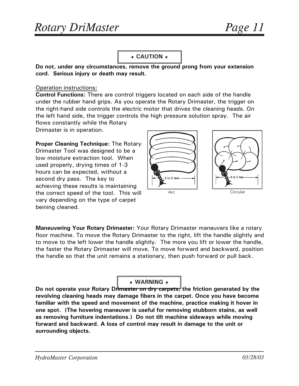#### ♦ **CAUTION** ♦

**Do not, under any circumstances, remove the ground prong from your extension cord. Serious injury or death may result.**

#### Operation instructions:

**Control Functions:** There are control triggers located on each side of the handle under the rubber hand grips. As you operate the Rotary Drimaster, the trigger on the right-hand side controls the electric motor that drives the cleaning heads. On the left hand side, the trigger controls the high pressure solution spray. The air flows constantly while the Rotary

Drimaster is in operation.

**Proper Cleaning Technique:** The Rotary Drimaster Tool was designed to be a low moisture extraction tool. When used properly, drying times of 1-3 hours can be expected, without a second dry pass. The key to achieving these results is maintaining the correct speed of the tool. This will vary depending on the type of carpet beining cleaned.



**Maneuvering Your Rotary Drimaster:** Your Rotary Drimaster maneuvers like a rotary floor machine. To move the Rotary Drimaster to the right, lift the handle slightly and to move to the left lower the handle slightly. The more you lift or lower the handle, the faster the Rotary Drimaster will move. To move forward and backward, position the handle so that the unit remains a stationary, then push forward or pull back.

#### ♦ **WARNING** ♦

**Do not operate your Rotary Drimaster on dry carpets; the friction generated by the revolving cleaning heads may damage fibers in the carpet. Once you have become familiar with the speed and movement of the machine, practice making it hover in one spot. (The hovering maneuver is useful for removing stubborn stains, as well as removing furniture indentations.) Do not tilt machine sideways while moving forward and backward. A loss of control may result in damage to the unit or surrounding objects.**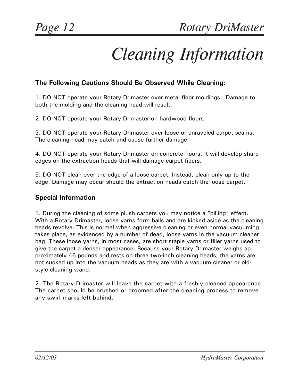# *Cleaning Information*

### **The Following Cautions Should Be Observed While Cleaning:**

1. DO NOT operate your Rotary Drimaster over metal floor moldings. Damage to both the molding and the cleaning head will result.

2. DO NOT operate your Rotary Drimaster on hardwood floors.

3. DO NOT operate your Rotary Drimaster over loose or unraveled carpet seams. The cleaning head may catch and cause further damage.

4. DO NOT operate your Rotary Drimaster on concrete floors. It will develop sharp edges on the extraction heads that will damage carpet fibers.

5. DO NOT clean over the edge of a loose carpet. Instead, clean only up to the edge. Damage may occur should the extraction heads catch the loose carpet.

#### **Special Information**

1. During the cleaning of some plush carpets you may notice a "pilling" effect. With a Rotary Drimaster, loose yarns form balls and are kicked aside as the cleaning heads revolve. This is normal when aggressive cleaning or even normal vacuuming takes place, as evidenced by a number of dead, loose yarns in the vacuum cleaner bag. These loose yarns, in most cases, are short staple yarns or filler yarns used to give the carpet a denser appearance. Because your Rotary Drimaster weighs approximately 46 pounds and rests on three two-inch cleaning heads, the yarns are not sucked up into the vacuum heads as they are with a vacuum cleaner or oldstyle cleaning wand.

2. The Rotary Drimaster will leave the carpet with a freshly-cleaned appearance. The carpet should be brushed or groomed after the cleaning process to remove any swirl marks left behind.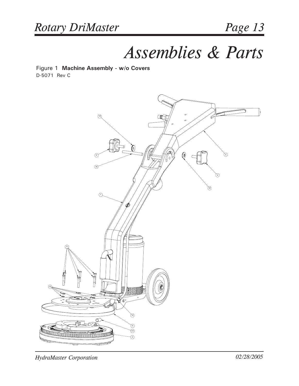# *Assemblies & Parts*

Figure 1 **Machine Assembly - w/o Covers** D-5071 Rev C

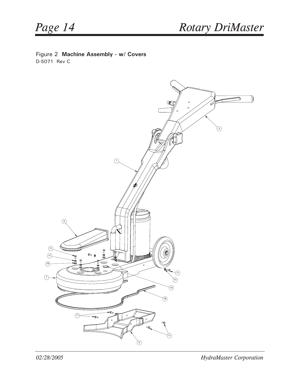#### Figure 2 **Machine Assembly - w/ Covers** D-5071 Rev C

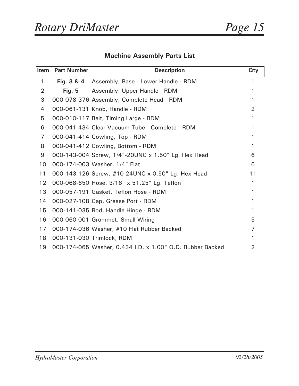| <b>Item</b>    | <b>Part Number</b> | <b>Description</b>                                        | <b>Qty</b> |
|----------------|--------------------|-----------------------------------------------------------|------------|
| 1              |                    | Fig. 3 & 4 Assembly, Base - Lower Handle - RDM            | 1          |
| $\overline{2}$ | Fig. $5$           | Assembly, Upper Handle - RDM                              |            |
| 3              |                    | 000-078-376 Assembly, Complete Head - RDM                 |            |
| 4              |                    | 000-061-131 Knob, Handle - RDM                            | 2          |
| 5              |                    | 000-010-117 Belt, Timing Large - RDM                      |            |
| 6              |                    | 000-041-434 Clear Vacuum Tube - Complete - RDM            |            |
| 7              |                    | 000-041-414 Cowling, Top - RDM                            |            |
| 8              |                    | 000-041-412 Cowling, Bottom - RDM                         |            |
| 9              |                    | 000-143-004 Screw, 1/4"-20UNC x 1.50" Lg. Hex Head        | 6          |
| 10             |                    | 000-174-003 Washer, 1/4" Flat                             | 6          |
| 11             |                    | 000-143-126 Screw, #10-24UNC x 0.50" Lg. Hex Head         | 11         |
| 12             |                    | 000-068-650 Hose, 3/16" x 51.25" Lg. Teflon               |            |
| 13             |                    | 000-057-191 Gasket, Teflon Hose - RDM                     |            |
| 14             |                    | 000-027-108 Cap, Grease Port - RDM                        |            |
| 15             |                    | 000-141-035 Rod, Handle Hinge - RDM                       |            |
| 16             |                    | 000-060-001 Grommet, Small Wiring                         | 5          |
| 17             |                    | 000-174-036 Washer, #10 Flat Rubber Backed                | 7          |
| 18             |                    | 000-131-030 Trimlock, RDM                                 |            |
| 19             |                    | 000-174-065 Washer, 0.434 I.D. x 1.00" O.D. Rubber Backed | 2          |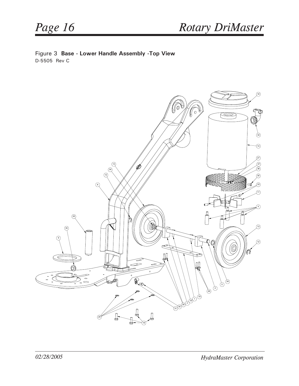#### Figure 3 **Base - Lower Handle Assembly -Top View** D-5505 Rev C

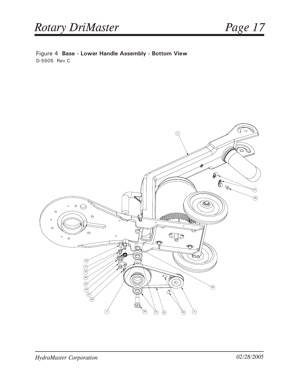#### Figure 4 **Base - Lower Handle Assembly - Bottom View** D-5505 Rev C

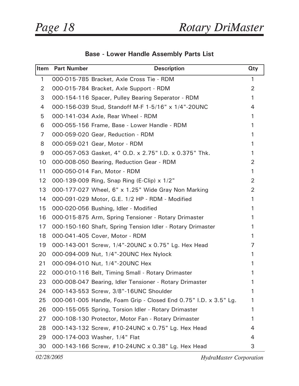|  |  |  | <b>Base - Lower Handle Assembly Parts List</b> |  |  |
|--|--|--|------------------------------------------------|--|--|
|--|--|--|------------------------------------------------|--|--|

|                | <b>Item</b> Part Number | <b>Description</b>                                               | <b>Qty</b>     |
|----------------|-------------------------|------------------------------------------------------------------|----------------|
| 1              |                         | 000-015-785 Bracket, Axle Cross Tie - RDM                        | 1              |
| $\overline{2}$ |                         | 000-015-784 Bracket, Axle Support - RDM                          | $\overline{2}$ |
| 3              |                         | 000-154-116 Spacer, Pulley Bearing Seperator - RDM               | 1              |
| 4              |                         | 000-156-039 Stud, Standoff M-F 1-5/16" x 1/4"-20UNC              | 4              |
| 5              |                         | 000-141-034 Axle, Rear Wheel - RDM                               | 1              |
| 6              |                         | 000-055-156 Frame, Base - Lower Handle - RDM                     | 1              |
| 7              |                         | 000-059-020 Gear, Reduction - RDM                                | 1              |
| 8              |                         | 000-059-021 Gear, Motor - RDM                                    | 1              |
| 9              |                         | 000-057-053 Gasket, 4" O.D. x 2.75" I.D. x 0.375" Thk.           | 1              |
| 10             |                         | 000-008-050 Bearing, Reduction Gear - RDM                        | $\overline{2}$ |
| 11             |                         | 000-050-014 Fan, Motor - RDM                                     | 1              |
| 12             |                         | 000-139-009 Ring, Snap Ring (E-Clip) x 1/2"                      | $\overline{2}$ |
| 13             |                         | 000-177-027 Wheel, 6" x 1.25" Wide Gray Non Marking              | $\overline{2}$ |
| 14             |                         | 000-091-029 Motor, G.E. 1/2 HP - RDM - Modified                  | 1              |
| 15             |                         | 000-020-056 Bushing, Idler - Modified                            | 1              |
| 16             |                         | 000-015-875 Arm, Spring Tensioner - Rotary Drimaster             | 1              |
| 17             |                         | 000-150-160 Shaft, Spring Tension Idler - Rotary Drimaster       | 1              |
| 18             |                         | 000-041-405 Cover, Motor - RDM                                   | 1              |
| 19             |                         | 000-143-001 Screw, 1/4"-20UNC x 0.75" Lg. Hex Head               | 7              |
| 20             |                         | 000-094-009 Nut, 1/4"-20UNC Hex Nylock                           | 1              |
| 21             |                         | 000-094-010 Nut, 1/4"-20UNC Hex                                  | 1              |
| 22             |                         | 000-010-116 Belt, Timing Small - Rotary Drimaster                | 1              |
| 23             |                         | 000-008-047 Bearing, Idler Tensioner - Rotary Drimaster          | 1              |
| 24             |                         | 000-143-553 Screw, 3/8"-16UNC Shoulder                           | 1              |
| 25             |                         | 000-061-005 Handle, Foam Grip - Closed End 0.75" I.D. x 3.5" Lg. | 1              |
| 26             |                         | 000-155-055 Spring, Torsion Idler - Rotary Drimaster             | 1              |
| 27             |                         | 000-108-130 Protector, Motor Fan - Rotary Drimaster              | 1              |
| 28             |                         | 000-143-132 Screw, #10-24UNC x 0.75" Lg. Hex Head                | 4              |
| 29             |                         | 000-174-003 Washer, 1/4" Flat                                    | 4              |
| 30             |                         | 000-143-166 Screw, #10-24UNC x 0.38" Lg. Hex Head                | 3              |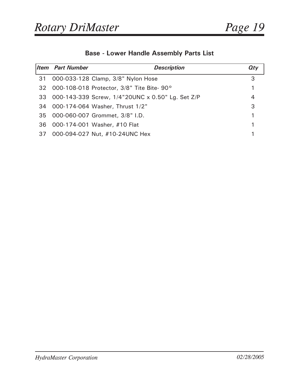|  |  | <b>Base - Lower Handle Assembly Parts List</b> |  |  |  |
|--|--|------------------------------------------------|--|--|--|
|--|--|------------------------------------------------|--|--|--|

|    | <b>Item</b> Part Number | <b>Description</b>                                  |   |
|----|-------------------------|-----------------------------------------------------|---|
| 31 |                         | 000-033-128 Clamp, 3/8" Nylon Hose                  | 3 |
|    |                         | 32 000-108-018 Protector, 3/8" Tite Bite- 90°       |   |
|    |                         | 33 000-143-339 Screw, 1/4"20UNC x 0.50" Lg. Set Z/P | 4 |
|    |                         | 34 000-174-064 Washer, Thrust 1/2"                  | 3 |
|    |                         | 35 000-060-007 Grommet, 3/8" I.D.                   |   |
|    |                         | 36 000-174-001 Washer, #10 Flat                     |   |
| 37 |                         | 000-094-027 Nut, #10-24UNC Hex                      |   |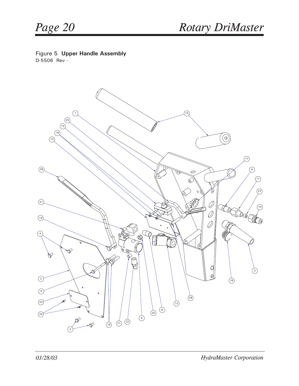Figure 5 **Upper Handle Assembly** D-5506 Rev -

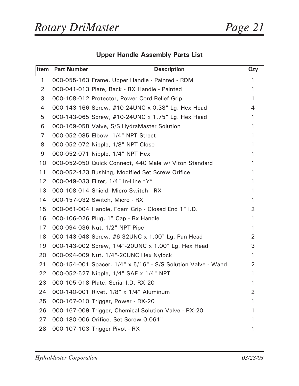### **Upper Handle Assembly Parts List**

|                | Item Part Number | <b>Description</b>                                           | <b>Qty</b>     |
|----------------|------------------|--------------------------------------------------------------|----------------|
| 1              |                  | 000-055-163 Frame, Upper Handle - Painted - RDM              | 1              |
| $\overline{2}$ |                  | 000-041-013 Plate, Back - RX Handle - Painted                | 1              |
| 3              |                  | 000-108-012 Protector, Power Cord Relief Grip                | 1              |
| 4              |                  | 000-143-166 Screw, #10-24UNC x 0.38" Lg. Hex Head            | 4              |
| 5              |                  | 000-143-065 Screw, #10-24UNC x 1.75" Lg. Hex Head            | 1              |
| 6              |                  | 000-169-058 Valve, S/S HydraMaster Solution                  | 1              |
| $\overline{7}$ |                  | 000-052-085 Elbow, 1/4" NPT Street                           | 1              |
| 8              |                  | 000-052-072 Nipple, 1/8" NPT Close                           | 1              |
| 9              |                  | 000-052-071 Nipple, 1/4" NPT Hex                             | 1              |
| 10             |                  | 000-052-050 Quick Connect, 440 Male w/ Viton Standard        | 1              |
| 11             |                  | 000-052-423 Bushing, Modified Set Screw Orifice              | 1              |
| 12             |                  | 000-049-033 Filter, 1/4" In-Line "Y"                         | 1              |
| 13             |                  | 000-108-014 Shield, Micro-Switch - RX                        | 1              |
| 14             |                  | 000-157-032 Switch, Micro - RX                               | 1              |
| 15             |                  | 000-061-004 Handle, Foam Grip - Closed End 1" I.D.           | $\overline{2}$ |
| 16             |                  | 000-106-026 Plug, 1" Cap - Rx Handle                         | 1              |
| 17             |                  | 000-094-036 Nut, 1/2" NPT Pipe                               | $\mathbf{1}$   |
| 18             |                  | 000-143-048 Screw, #6-32UNC x 1.00" Lg. Pan Head             | $\overline{2}$ |
| 19             |                  | 000-143-002 Screw, 1/4"-20UNC x 1.00" Lg. Hex Head           | 3              |
| 20             |                  | 000-094-009 Nut, 1/4"-20UNC Hex Nylock                       | 1              |
| 21             |                  | 000-154-001 Spacer, 1/4" x 5/16" - S/S Solution Valve - Wand | $\overline{2}$ |
| 22             |                  | 000-052-527 Nipple, 1/4" SAE x 1/4" NPT                      | $\mathbf{1}$   |
| 23             |                  | 000-105-018 Plate, Serial I.D. RX-20                         | 1              |
| 24             |                  | 000-140-001 Rivet, 1/8" x 1/4" Aluminum                      | 2              |
| 25             |                  | 000-167-010 Trigger, Power - RX-20                           | 1              |
| 26             |                  | 000-167-009 Trigger, Chemical Solution Valve - RX-20         |                |
| 27             |                  | 000-180-006 Orifice, Set Screw 0.061"                        |                |
| 28             |                  | 000-107-103 Trigger Pivot - RX                               |                |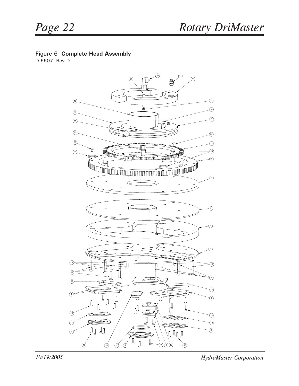### Figure 6 **Complete Head Assembly**

D-5507 Rev D

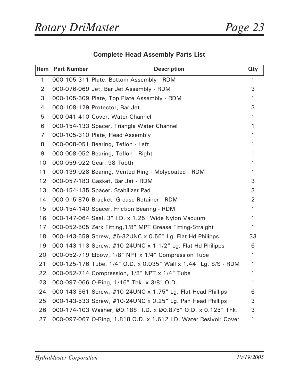### **Complete Head Assembly Parts List**

| Item           | <b>Part Number</b> | <b>Description</b>                                               | <b>Qty</b>     |
|----------------|--------------------|------------------------------------------------------------------|----------------|
| 1              |                    | 000-105-311 Plate, Bottom Assembly - RDM                         | 1              |
| $\overline{2}$ |                    | 000-076-069 Jet, Bar Jet Assembly - RDM                          | 3              |
| 3              |                    | 000-105-309 Plate, Top Plate Assembly - RDM                      | 1              |
| 4              |                    | 000-108-129 Protector, Bar Jet                                   | 3              |
| 5              |                    | 000-041-410 Cover, Water Channel                                 | $\mathbf{1}$   |
| 6              |                    | 000-154-133 Spacer, Triangle Water Channel                       | 1              |
| 7              |                    | 000-105-310 Plate, Head Assembly                                 | 1              |
| 8              |                    | 000-008-051 Bearing, Teflon - Left                               | 1              |
| 9              |                    | 000-008-052 Bearing, Teflon - Right                              | 1              |
| 10             |                    | 000-059-022 Gear, 98 Tooth                                       | 1              |
| 11             |                    | 000-139-028 Bearing, Vented Ring - Molycoated - RDM              | 1              |
| 12             |                    | 000-057-183 Gasket, Bar Jet - RDM                                | 3              |
| 13             |                    | 000-154-135 Spacer, Stabilizer Pad                               | 3              |
| 14             |                    | 000-015-876 Bracket, Grease Retainer - RDM                       | $\overline{2}$ |
| 15             |                    | 000-154-140 Spacer, Friction Bearing - RDM                       | 1              |
| 16             |                    | 000-147-064 Seal, 3" I.D. x 1.25" Wide Nylon Vacuum              | 1              |
| 17             |                    | 000-052-505 Zerk Fitting, 1/8" MPT Grease Fitting-Straight       | 1              |
| 18             |                    | 000-143-559 Screw, #6-32UNC x 0.56" Lg. Flat Hd Philipps         | 33             |
| 19             |                    | 000-143-113 Screw, #10-24UNC x 1 1/2" Lg. Flat Hd Philipps       | 6              |
| 20             |                    | 000-052-719 Elbow, 1/8" NPT x 1/4" Compression Tube              | 1              |
| 21             |                    | 000-125-176 Tube, 1/4" O.D. x 0.035" Wall x 1.44" Lg. S/S - RDM  | 1              |
| 22             |                    | 000-052-714 Compression, 1/8" NPT x 1/4" Tube                    | 1              |
| 23             |                    | 000-097-066 O-Ring, 1/16" Thk. x 3/8" O.D.                       | 1              |
| 24             |                    | 000-143-561 Screw, #10-24UNC x 1.75" Lg. Flat Head Phillips      | 6              |
| 25             |                    | 000-143-533 Screw, #10-24UNC x 0.25" Lg. Pan Head Phillips       | 3              |
| 26             |                    | 000-174-103 Washer, Ø0.188" I.D. x Ø0.875" O.D. x 0.125" Thk.    | 3              |
| 27             |                    | 000-097-067 O-Ring, 1.818 O.D. x 1.612 I.D. Water Resivoir Cover | 1              |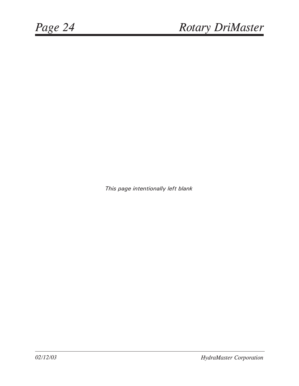*This page intentionally left blank*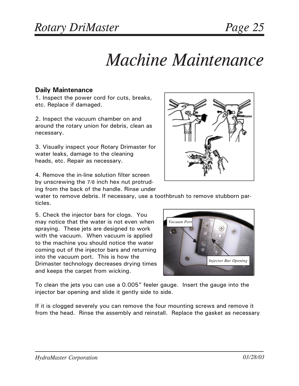### *Machine Maintenance*

#### **Daily Maintenance**

1. Inspect the power cord for cuts, breaks, etc. Replace if damaged.

2. Inspect the vacuum chamber on and around the rotary union for debris, clean as necessary.

3. Visually inspect your Rotary Drimaster for water leaks, damage to the cleaning heads, etc. Repair as necessary.

4. Remove the in-line solution filter screen by unscrewing the 7/8 inch hex nut protrud-



5. Check the injector bars for clogs. You may notice that the water is not even when spraying. These jets are designed to work with the vacuum. When vacuum is applied to the machine you should notice the water coming out of the injector bars and returning into the vacuum port. This is how the Drimaster technology decreases drying times and keeps the carpet from wicking.



To clean the jets you can use a 0.005" feeler gauge. Insert the gauge into the injector bar opening and slide it gently side to side.

If it is clogged severely you can remove the four mounting screws and remove it from the head. Rinse the assembly and reinstall. Replace the gasket as necessary.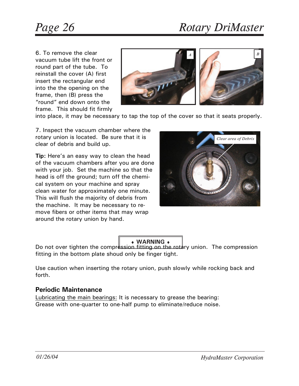6. To remove the clear vacuum tube lift the front or round part of the tube. To reinstall the cover (A) first insert the rectangular end into the the opening on the frame, then (B) press the "round" end down onto the frame. This should fit firmly



into place, it may be necessary to tap the top of the cover so that it seats properly.

7. Inspect the vacuum chamber where the rotary union is located. Be sure that it is clear of debris and build up.

**Tip:** Here's an easy way to clean the head of the vacuum chambers after you are done with your job. Set the machine so that the head is off the ground; turn off the chemical system on your machine and spray clean water for approximately one minute. This will flush the majority of debris from the machine. It may be necessary to remove fibers or other items that may wrap around the rotary union by hand.



♦ **WARNING** ♦

Do not over tighten the compression fitting on the rotary union. The compression fitting in the bottom plate shoud only be finger tight.

Use caution when inserting the rotary union, push slowly while rocking back and forth.

#### **Periodic Maintenance**

Lubricating the main bearings: It is necessary to grease the bearing: Grease with one-quarter to one-half pump to eliminate/reduce noise.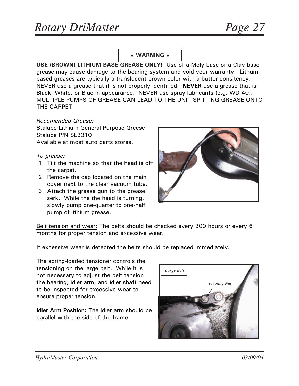#### ♦ **WARNING** ♦

**USE (BROWN) LITHIUM BASE GREASE ONLY!** Use of a Moly base or a Clay base grease may cause damage to the bearing system and void your warranty. Lithum based greases are typically a translucent brown color with a butter consitency. NEVER use a grease that it is not properly identified. **NEVER** use a grease that is Black, White, or Blue in appearance. NEVER use spray lubricants (e.g. WD-40). MULTIPLE PUMPS OF GREASE CAN LEAD TO THE UNIT SPITTING GREASE ONTO THE CARPET.

#### *Recomended Grease:*

Stalube Lithium General Purpose Greese Stalube P/N SL3310 Available at most auto parts stores.

*To grease:*

- 1. Tilt the machine so that the head is off the carpet.
- 2. Remove the cap located on the main cover next to the clear vacuum tube.
- 3. Attach the grease gun to the grease zerk. While the the head is turning, slowly pump one-quarter to one-half pump of lithium grease.



Belt tension and wear: The belts should be checked every 300 hours or every 6 months for proper tension and excessive wear.

If excessive wear is detected the belts should be replaced immediately.

The spring-loaded tensioner controls the tensioning on the large belt. While it is not necessary to adjust the belt tension the bearing, idler arm, and idler shaft need to be inspected for excessive wear to ensure proper tension.

**Idler Arm Position:** The idler arm should be parallel with the side of the frame.

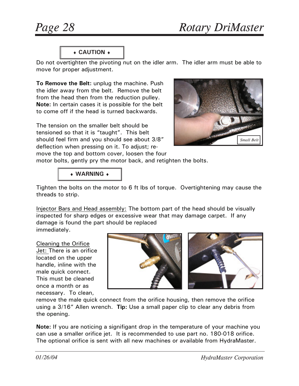#### ♦ **CAUTION** ♦

Do not overtighten the pivoting nut on the idler arm. The idler arm must be able to move for proper adjustment.

**To Remove the Belt:** unplug the machine. Push the idler away from the belt. Remove the belt from the head then from the reduction pulley. **Note:** In certain cases it is possible for the belt to come off if the head is turned backwards.

The tension on the smaller belt should be tensioned so that it is "taught". This belt should feel firm and you should see about 3/8" deflection when pressing on it. To adjust; remove the top and bottom cover, loosen the four



motor bolts, gently pry the motor back, and retighten the bolts.

♦ **WARNING** ♦

Tighten the bolts on the motor to 6 ft lbs of torque. Overtightening may cause the threads to strip.

Injector Bars and Head assembly: The bottom part of the head should be visually inspected for sharp edges or excessive wear that may damage carpet. If any damage is found the part should be replaced

immediately.

Cleaning the Orifice Jet: There is an orifice located on the upper handle, inline with the male quick connect. This must be cleaned once a month or as necessary. To clean,



remove the male quick connect from the orifice housing, then remove the orifice using a 3/16" Allen wrench. **Tip:** Use a small paper clip to clear any debris from the opening.

**Note:** If you are noticing a signifigant drop in the temperature of your machine you can use a smaller orifice jet. It is recommended to use part no. 180-018 orifice. The optional orifice is sent with all new machines or available from HydraMaster.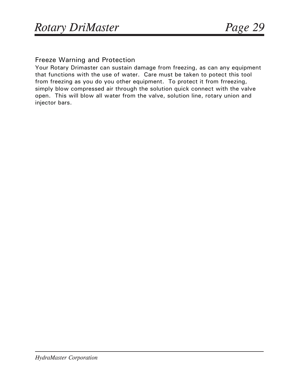Freeze Warning and Protection

Your Rotary Drimaster can sustain damage from freezing, as can any equipment that functions with the use of water. Care must be taken to potect this tool from freezing as you do you other equipment. To protect it from frreezing, simply blow compressed air through the solution quick connect with the valve open. This will blow all water from the valve, solution line, rotary union and injector bars.